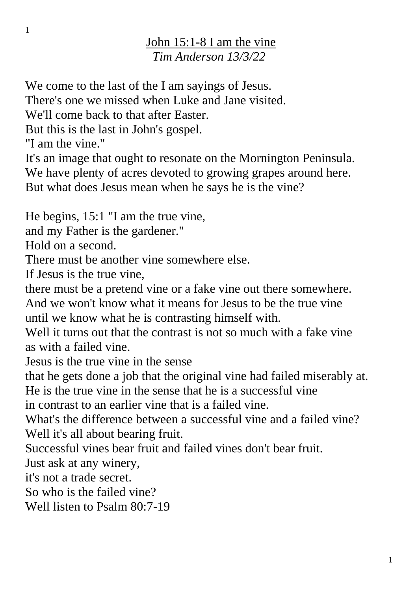## John 15:1-8 I am the vine *Tim Anderson 13/3/22*

We come to the last of the I am sayings of Jesus.

There's one we missed when Luke and Jane visited.

We'll come back to that after Easter.

But this is the last in John's gospel.

"I am the vine."

It's an image that ought to resonate on the Mornington Peninsula. We have plenty of acres devoted to growing grapes around here. But what does Jesus mean when he says he is the vine?

He begins, 15:1 "I am the true vine,

and my Father is the gardener."

Hold on a second.

There must be another vine somewhere else.

If Jesus is the true vine,

there must be a pretend vine or a fake vine out there somewhere.

And we won't know what it means for Jesus to be the true vine until we know what he is contrasting himself with.

Well it turns out that the contrast is not so much with a fake vine as with a failed vine.

Jesus is the true vine in the sense

that he gets done a job that the original vine had failed miserably at. He is the true vine in the sense that he is a successful vine

in contrast to an earlier vine that is a failed vine.

What's the difference between a successful vine and a failed vine? Well it's all about bearing fruit.

Successful vines bear fruit and failed vines don't bear fruit.

Just ask at any winery,

it's not a trade secret.

So who is the failed vine?

Well listen to Psalm 80:7-19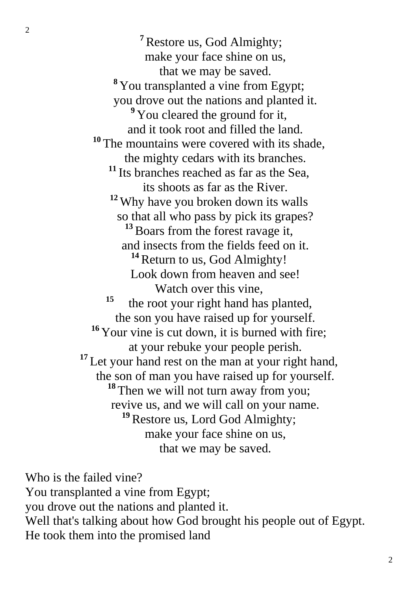**<sup>7</sup>**Restore us, God Almighty; make your face shine on us, that we may be saved. **<sup>8</sup>** You transplanted a vine from Egypt; you drove out the nations and planted it. <sup>9</sup> You cleared the ground for it, and it took root and filled the land. <sup>10</sup> The mountains were covered with its shade, the mighty cedars with its branches. **<sup>11</sup>** Its branches reached as far as the Sea, its shoots as far as the River. **<sup>12</sup>** Why have you broken down its walls so that all who pass by pick its grapes? <sup>13</sup> Boars from the forest ravage it, and insects from the fields feed on it. <sup>14</sup> Return to us, God Almighty! Look down from heaven and see! Watch over this vine, **15** the root your right hand has planted, the son you have raised up for yourself. <sup>16</sup> Your vine is cut down, it is burned with fire; at your rebuke your people perish. <sup>17</sup> Let your hand rest on the man at your right hand, the son of man you have raised up for yourself. **<sup>18</sup>** Then we will not turn away from you; revive us, and we will call on your name. **<sup>19</sup>**Restore us, Lord God Almighty; make your face shine on us, that we may be saved.

Who is the failed vine? You transplanted a vine from Egypt; you drove out the nations and planted it. Well that's talking about how God brought his people out of Egypt. He took them into the promised land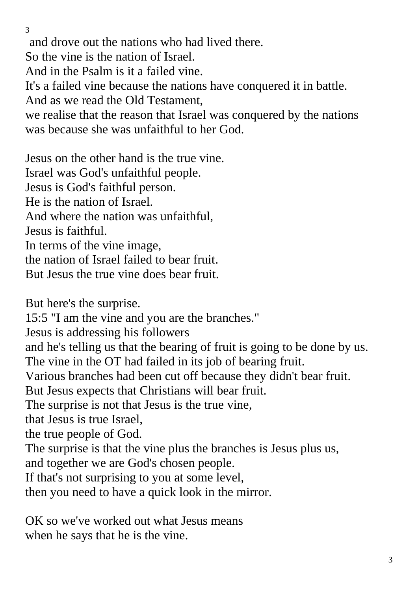and drove out the nations who had lived there. So the vine is the nation of Israel. And in the Psalm is it a failed vine. It's a failed vine because the nations have conquered it in battle. And as we read the Old Testament, we realise that the reason that Israel was conquered by the nations was because she was unfaithful to her God.

Jesus on the other hand is the true vine. Israel was God's unfaithful people. Jesus is God's faithful person. He is the nation of Israel. And where the nation was unfaithful, Jesus is faithful. In terms of the vine image, the nation of Israel failed to bear fruit. But Jesus the true vine does bear fruit.

But here's the surprise.

15:5 "I am the vine and you are the branches."

Jesus is addressing his followers

and he's telling us that the bearing of fruit is going to be done by us. The vine in the OT had failed in its job of bearing fruit.

Various branches had been cut off because they didn't bear fruit.

But Jesus expects that Christians will bear fruit.

The surprise is not that Jesus is the true vine,

that Jesus is true Israel,

the true people of God.

The surprise is that the vine plus the branches is Jesus plus us,

and together we are God's chosen people.

If that's not surprising to you at some level,

then you need to have a quick look in the mirror.

OK so we've worked out what Jesus means when he says that he is the vine.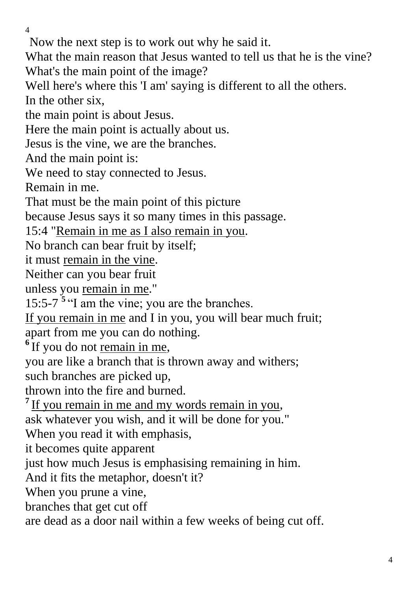Now the next step is to work out why he said it.

What the main reason that Jesus wanted to tell us that he is the vine? What's the main point of the image?

Well here's where this 'I am' saying is different to all the others.

In the other six,

the main point is about Jesus.

Here the main point is actually about us.

Jesus is the vine, we are the branches.

And the main point is:

We need to stay connected to Jesus.

Remain in me.

That must be the main point of this picture

because Jesus says it so many times in this passage.

15:4 "Remain in me as I also remain in you.

No branch can bear fruit by itself;

it must remain in the vine.

Neither can you bear fruit

unless you remain in me."

15:5-7 **<sup>5</sup>** "I am the vine; you are the branches.

If you remain in me and I in you, you will bear much fruit; apart from me you can do nothing.

<sup>6</sup>If you do not remain in me,

you are like a branch that is thrown away and withers;

such branches are picked up,

thrown into the fire and burned.

<sup>7</sup> If you remain in me and my words remain in you,

ask whatever you wish, and it will be done for you."

When you read it with emphasis,

it becomes quite apparent

just how much Jesus is emphasising remaining in him.

And it fits the metaphor, doesn't it?

When you prune a vine,

branches that get cut off

are dead as a door nail within a few weeks of being cut off.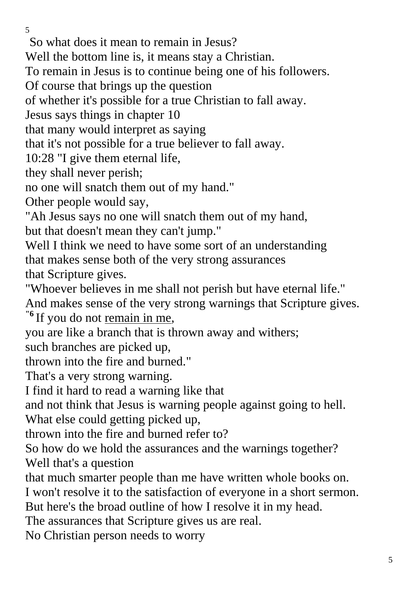So what does it mean to remain in Jesus?

Well the bottom line is, it means stay a Christian.

To remain in Jesus is to continue being one of his followers.

Of course that brings up the question

of whether it's possible for a true Christian to fall away.

Jesus says things in chapter 10

that many would interpret as saying

that it's not possible for a true believer to fall away.

10:28 "I give them eternal life,

they shall never perish;

no one will snatch them out of my hand."

Other people would say,

"Ah Jesus says no one will snatch them out of my hand, but that doesn't mean they can't jump."

Well I think we need to have some sort of an understanding that makes sense both of the very strong assurances that Scripture gives.

"Whoever believes in me shall not perish but have eternal life." And makes sense of the very strong warnings that Scripture gives.

**"6** If you do not remain in me,

you are like a branch that is thrown away and withers;

such branches are picked up,

thrown into the fire and burned."

That's a very strong warning.

I find it hard to read a warning like that

and not think that Jesus is warning people against going to hell.

What else could getting picked up,

thrown into the fire and burned refer to?

So how do we hold the assurances and the warnings together? Well that's a question

that much smarter people than me have written whole books on.

I won't resolve it to the satisfaction of everyone in a short sermon.

But here's the broad outline of how I resolve it in my head.

The assurances that Scripture gives us are real.

No Christian person needs to worry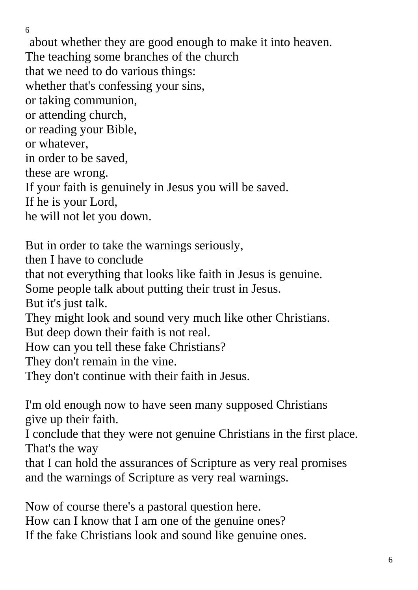about whether they are good enough to make it into heaven. The teaching some branches of the church that we need to do various things: whether that's confessing your sins, or taking communion, or attending church, or reading your Bible, or whatever, in order to be saved, these are wrong. If your faith is genuinely in Jesus you will be saved. If he is your Lord, he will not let you down.

6

But in order to take the warnings seriously, then I have to conclude that not everything that looks like faith in Jesus is genuine. Some people talk about putting their trust in Jesus. But it's just talk. They might look and sound very much like other Christians. But deep down their faith is not real. How can you tell these fake Christians? They don't remain in the vine. They don't continue with their faith in Jesus.

I'm old enough now to have seen many supposed Christians give up their faith.

I conclude that they were not genuine Christians in the first place. That's the way

that I can hold the assurances of Scripture as very real promises and the warnings of Scripture as very real warnings.

Now of course there's a pastoral question here. How can I know that I am one of the genuine ones? If the fake Christians look and sound like genuine ones.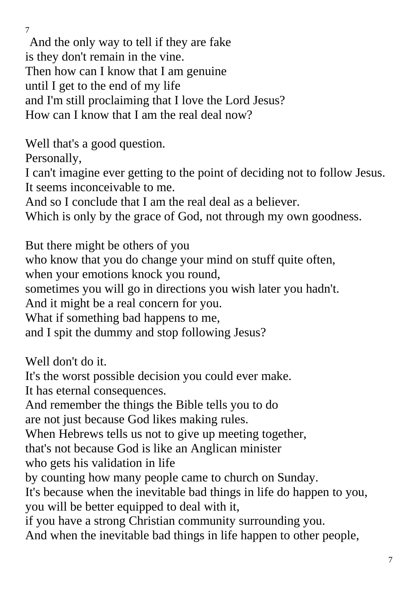And the only way to tell if they are fake is they don't remain in the vine. Then how can I know that I am genuine until I get to the end of my life and I'm still proclaiming that I love the Lord Jesus? How can I know that I am the real deal now?

Well that's a good question.

Personally,

I can't imagine ever getting to the point of deciding not to follow Jesus. It seems inconceivable to me.

And so I conclude that I am the real deal as a believer.

Which is only by the grace of God, not through my own goodness.

But there might be others of you who know that you do change your mind on stuff quite often, when your emotions knock you round, sometimes you will go in directions you wish later you hadn't. And it might be a real concern for you. What if something bad happens to me, and I spit the dummy and stop following Jesus?

Well don't do it.

It's the worst possible decision you could ever make.

It has eternal consequences.

And remember the things the Bible tells you to do

are not just because God likes making rules.

When Hebrews tells us not to give up meeting together,

that's not because God is like an Anglican minister

who gets his validation in life

by counting how many people came to church on Sunday.

It's because when the inevitable bad things in life do happen to you, you will be better equipped to deal with it,

if you have a strong Christian community surrounding you.

And when the inevitable bad things in life happen to other people,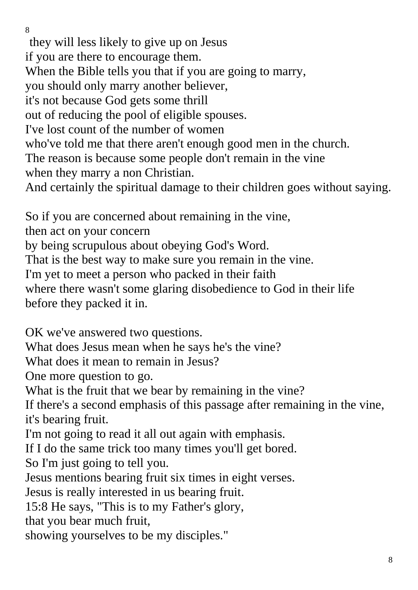they will less likely to give up on Jesus if you are there to encourage them. When the Bible tells you that if you are going to marry, you should only marry another believer, it's not because God gets some thrill out of reducing the pool of eligible spouses. I've lost count of the number of women who've told me that there aren't enough good men in the church. The reason is because some people don't remain in the vine when they marry a non Christian. And certainly the spiritual damage to their children goes without saying.

So if you are concerned about remaining in the vine,

then act on your concern

by being scrupulous about obeying God's Word.

That is the best way to make sure you remain in the vine.

I'm yet to meet a person who packed in their faith

where there wasn't some glaring disobedience to God in their life before they packed it in.

OK we've answered two questions.

What does Jesus mean when he says he's the vine?

What does it mean to remain in Jesus?

One more question to go.

What is the fruit that we bear by remaining in the vine?

If there's a second emphasis of this passage after remaining in the vine, it's bearing fruit.

I'm not going to read it all out again with emphasis.

If I do the same trick too many times you'll get bored.

So I'm just going to tell you.

Jesus mentions bearing fruit six times in eight verses.

Jesus is really interested in us bearing fruit.

15:8 He says, "This is to my Father's glory,

that you bear much fruit,

showing yourselves to be my disciples."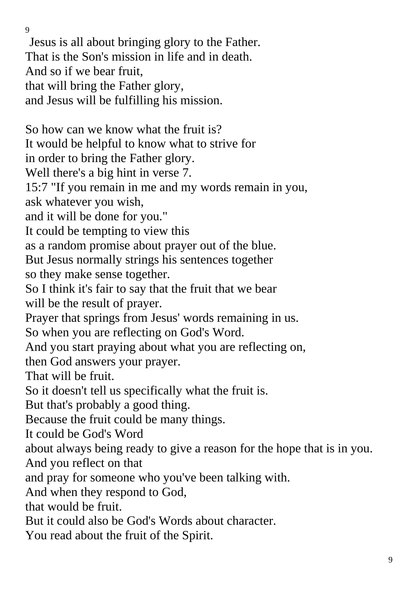Jesus is all about bringing glory to the Father. That is the Son's mission in life and in death. And so if we bear fruit, that will bring the Father glory, and Jesus will be fulfilling his mission. So how can we know what the fruit is? It would be helpful to know what to strive for in order to bring the Father glory. Well there's a big hint in verse 7. 15:7 "If you remain in me and my words remain in you, ask whatever you wish, and it will be done for you." It could be tempting to view this as a random promise about prayer out of the blue. But Jesus normally strings his sentences together so they make sense together. So I think it's fair to say that the fruit that we bear will be the result of prayer. Prayer that springs from Jesus' words remaining in us. So when you are reflecting on God's Word. And you start praying about what you are reflecting on, then God answers your prayer. That will be fruit. So it doesn't tell us specifically what the fruit is. But that's probably a good thing. Because the fruit could be many things. It could be God's Word about always being ready to give a reason for the hope that is in you. And you reflect on that and pray for someone who you've been talking with. And when they respond to God, that would be fruit. But it could also be God's Words about character.

You read about the fruit of the Spirit.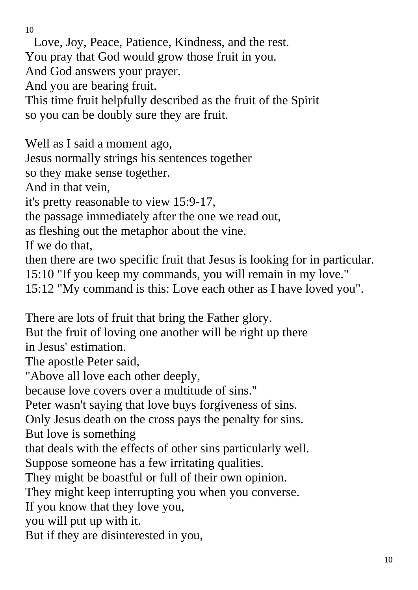Love, Joy, Peace, Patience, Kindness, and the rest. You pray that God would grow those fruit in you. And God answers your prayer. And you are bearing fruit. This time fruit helpfully described as the fruit of the Spirit so you can be doubly sure they are fruit.

Well as I said a moment ago,

Jesus normally strings his sentences together

so they make sense together.

And in that vein,

it's pretty reasonable to view 15:9-17,

the passage immediately after the one we read out,

as fleshing out the metaphor about the vine.

If we do that,

then there are two specific fruit that Jesus is looking for in particular.

15:10 "If you keep my commands, you will remain in my love."

15:12 "My command is this: Love each other as I have loved you".

There are lots of fruit that bring the Father glory.

But the fruit of loving one another will be right up there in Jesus' estimation.

The apostle Peter said,

"Above all love each other deeply,

because love covers over a multitude of sins."

Peter wasn't saying that love buys forgiveness of sins.

Only Jesus death on the cross pays the penalty for sins.

But love is something

that deals with the effects of other sins particularly well.

Suppose someone has a few irritating qualities.

They might be boastful or full of their own opinion.

They might keep interrupting you when you converse.

If you know that they love you,

you will put up with it.

But if they are disinterested in you,